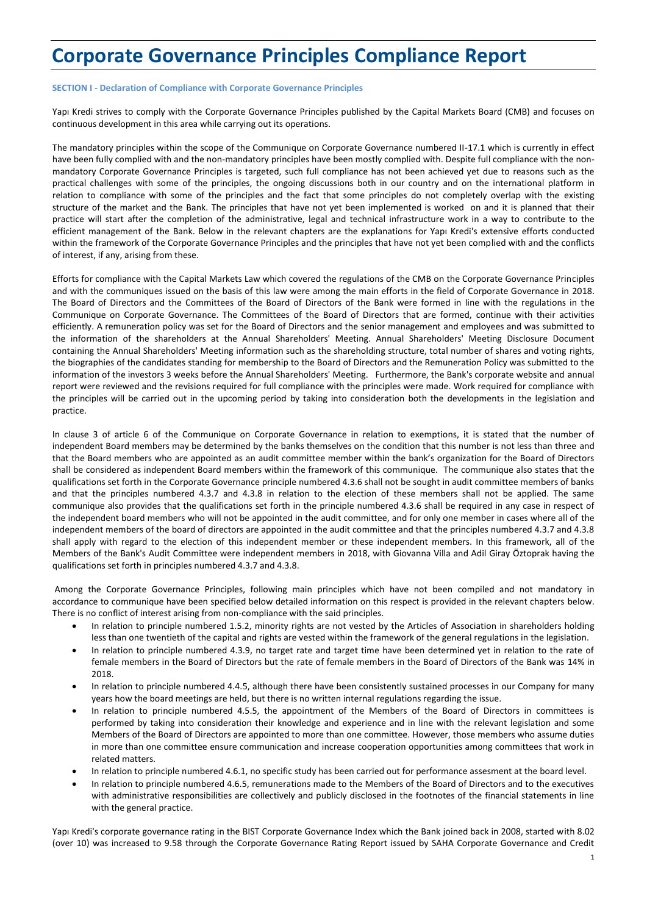# **Corporate Governance Principles Compliance Report**

# **SECTION I - Declaration of Compliance with Corporate Governance Principles**

Yapı Kredi strives to comply with the Corporate Governance Principles published by the Capital Markets Board (CMB) and focuses on continuous development in this area while carrying out its operations.

The mandatory principles within the scope of the Communique on Corporate Governance numbered II-17.1 which is currently in effect have been fully complied with and the non-mandatory principles have been mostly complied with. Despite full compliance with the nonmandatory Corporate Governance Principles is targeted, such full compliance has not been achieved yet due to reasons such as the practical challenges with some of the principles, the ongoing discussions both in our country and on the international platform in relation to compliance with some of the principles and the fact that some principles do not completely overlap with the existing structure of the market and the Bank. The principles that have not yet been implemented is worked on and it is planned that their practice will start after the completion of the administrative, legal and technical infrastructure work in a way to contribute to the efficient management of the Bank. Below in the relevant chapters are the explanations for Yapı Kredi's extensive efforts conducted within the framework of the Corporate Governance Principles and the principles that have not yet been complied with and the conflicts of interest, if any, arising from these.

Efforts for compliance with the Capital Markets Law which covered the regulations of the CMB on the Corporate Governance Principles and with the communiques issued on the basis of this law were among the main efforts in the field of Corporate Governance in 2018. The Board of Directors and the Committees of the Board of Directors of the Bank were formed in line with the regulations in the Communique on Corporate Governance. The Committees of the Board of Directors that are formed, continue with their activities efficiently. A remuneration policy was set for the Board of Directors and the senior management and employees and was submitted to the information of the shareholders at the Annual Shareholders' Meeting. Annual Shareholders' Meeting Disclosure Document containing the Annual Shareholders' Meeting information such as the shareholding structure, total number of shares and voting rights, the biographies of the candidates standing for membership to the Board of Directors and the Remuneration Policy was submitted to the information of the investors 3 weeks before the Annual Shareholders' Meeting. Furthermore, the Bank's corporate website and annual report were reviewed and the revisions required for full compliance with the principles were made. Work required for compliance with the principles will be carried out in the upcoming period by taking into consideration both the developments in the legislation and practice.

In clause 3 of article 6 of the Communique on Corporate Governance in relation to exemptions, it is stated that the number of independent Board members may be determined by the banks themselves on the condition that this number is not less than three and that the Board members who are appointed as an audit committee member within the bank's organization for the Board of Directors shall be considered as independent Board members within the framework of this communique. The communique also states that the qualifications set forth in the Corporate Governance principle numbered 4.3.6 shall not be sought in audit committee members of banks and that the principles numbered 4.3.7 and 4.3.8 in relation to the election of these members shall not be applied. The same communique also provides that the qualifications set forth in the principle numbered 4.3.6 shall be required in any case in respect of the independent board members who will not be appointed in the audit committee, and for only one member in cases where all of the independent members of the board of directors are appointed in the audit committee and that the principles numbered 4.3.7 and 4.3.8 shall apply with regard to the election of this independent member or these independent members. In this framework, all of the Members of the Bank's Audit Committee were independent members in 2018, with Giovanna Villa and Adil Giray Öztoprak having the qualifications set forth in principles numbered 4.3.7 and 4.3.8.

Among the Corporate Governance Principles, following main principles which have not been compiled and not mandatory in accordance to communique have been specified below detailed information on this respect is provided in the relevant chapters below. There is no conflict of interest arising from non-compliance with the said principles.

- In relation to principle numbered 1.5.2, minority rights are not vested by the Articles of Association in shareholders holding less than one twentieth of the capital and rights are vested within the framework of the general regulations in the legislation.
- In relation to principle numbered 4.3.9, no target rate and target time have been determined yet in relation to the rate of female members in the Board of Directors but the rate of female members in the Board of Directors of the Bank was 14% in 2018.
- In relation to principle numbered 4.4.5, although there have been consistently sustained processes in our Company for many years how the board meetings are held, but there is no written internal regulations regarding the issue.
- In relation to principle numbered 4.5.5, the appointment of the Members of the Board of Directors in committees is performed by taking into consideration their knowledge and experience and in line with the relevant legislation and some Members of the Board of Directors are appointed to more than one committee. However, those members who assume duties in more than one committee ensure communication and increase cooperation opportunities among committees that work in related matters.
- In relation to principle numbered 4.6.1, no specific study has been carried out for performance assesment at the board level.
- In relation to principle numbered 4.6.5, remunerations made to the Members of the Board of Directors and to the executives with administrative responsibilities are collectively and publicly disclosed in the footnotes of the financial statements in line with the general practice.

Yapı Kredi's corporate governance rating in the BIST Corporate Governance Index which the Bank joined back in 2008, started with 8.02 (over 10) was increased to 9.58 through the Corporate Governance Rating Report issued by SAHA Corporate Governance and Credit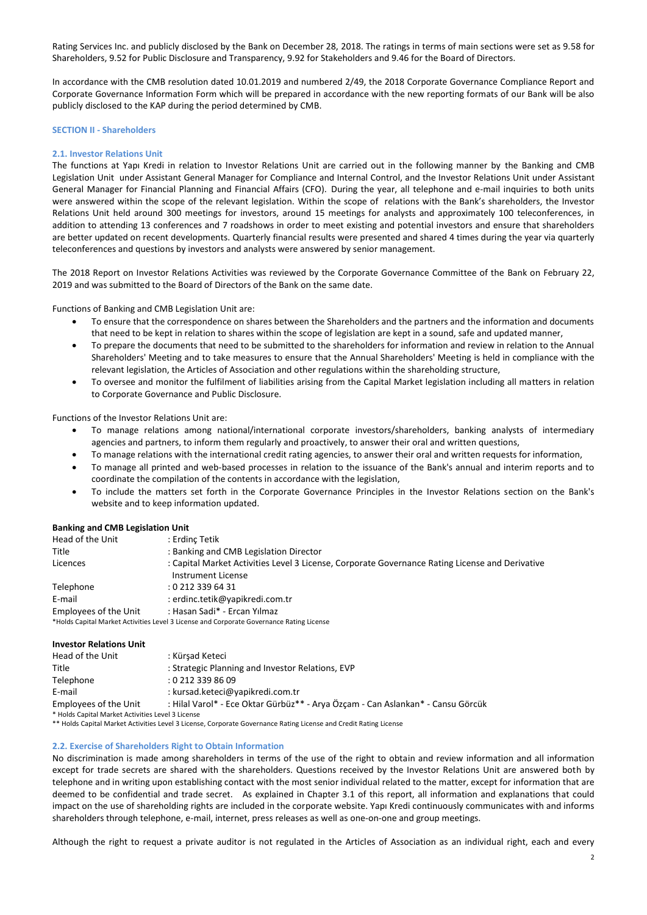Rating Services Inc. and publicly disclosed by the Bank on December 28, 2018. The ratings in terms of main sections were set as 9.58 for Shareholders, 9.52 for Public Disclosure and Transparency, 9.92 for Stakeholders and 9.46 for the Board of Directors.

In accordance with the CMB resolution dated 10.01.2019 and numbered 2/49, the 2018 Corporate Governance Compliance Report and Corporate Governance Information Form which will be prepared in accordance with the new reporting formats of our Bank will be also publicly disclosed to the KAP during the period determined by CMB.

## **SECTION II - Shareholders**

## **2.1. Investor Relations Unit**

The functions at Yapı Kredi in relation to Investor Relations Unit are carried out in the following manner by the Banking and CMB Legislation Unit under Assistant General Manager for Compliance and Internal Control, and the Investor Relations Unit under Assistant General Manager for Financial Planning and Financial Affairs (CFO). During the year, all telephone and e-mail inquiries to both units were answered within the scope of the relevant legislation. Within the scope of relations with the Bank's shareholders, the Investor Relations Unit held around 300 meetings for investors, around 15 meetings for analysts and approximately 100 teleconferences, in addition to attending 13 conferences and 7 roadshows in order to meet existing and potential investors and ensure that shareholders are better updated on recent developments. Quarterly financial results were presented and shared 4 times during the year via quarterly teleconferences and questions by investors and analysts were answered by senior management.

The 2018 Report on Investor Relations Activities was reviewed by the Corporate Governance Committee of the Bank on February 22, 2019 and was submitted to the Board of Directors of the Bank on the same date.

Functions of Banking and CMB Legislation Unit are:

- To ensure that the correspondence on shares between the Shareholders and the partners and the information and documents that need to be kept in relation to shares within the scope of legislation are kept in a sound, safe and updated manner,
- To prepare the documents that need to be submitted to the shareholders for information and review in relation to the Annual Shareholders' Meeting and to take measures to ensure that the Annual Shareholders' Meeting is held in compliance with the relevant legislation, the Articles of Association and other regulations within the shareholding structure,
- To oversee and monitor the fulfilment of liabilities arising from the Capital Market legislation including all matters in relation to Corporate Governance and Public Disclosure.

Functions of the Investor Relations Unit are:

- To manage relations among national/international corporate investors/shareholders, banking analysts of intermediary agencies and partners, to inform them regularly and proactively, to answer their oral and written questions,
- To manage relations with the international credit rating agencies, to answer their oral and written requests for information,
- To manage all printed and web-based processes in relation to the issuance of the Bank's annual and interim reports and to coordinate the compilation of the contents in accordance with the legislation,
- To include the matters set forth in the Corporate Governance Principles in the Investor Relations section on the Bank's website and to keep information updated.

| <b>Banking and CMB Legislation Unit</b> |                                                                                                 |
|-----------------------------------------|-------------------------------------------------------------------------------------------------|
| Head of the Unit                        | : Erdinc Tetik                                                                                  |
| Title                                   | : Banking and CMB Legislation Director                                                          |
| Licences                                | : Capital Market Activities Level 3 License, Corporate Governance Rating License and Derivative |
|                                         | Instrument License                                                                              |
| Telephone                               | $: 0.212$ 339 64 31                                                                             |
| E-mail                                  | : erdinc.tetik@yapikredi.com.tr                                                                 |
| Employees of the Unit                   | : Hasan Sadi* - Ercan Yılmaz                                                                    |
|                                         | *Holds Capital Market Activities Level 3 License and Corporate Governance Rating License        |

#### **Investor Relations Unit**

| Head of the Unit                                  | : Kürsad Keteci                                                                 |
|---------------------------------------------------|---------------------------------------------------------------------------------|
| Title                                             | : Strategic Planning and Investor Relations, EVP                                |
| Telephone                                         | :02123398609                                                                    |
| E-mail                                            | : kursad.keteci@yapikredi.com.tr                                                |
| Employees of the Unit                             | : Hilal Varol* - Ece Oktar Gürbüz** - Arya Özcam - Can Aslankan* - Cansu Görcük |
| * Holds Capital Market Activities Level 3 License |                                                                                 |
|                                                   |                                                                                 |

\*\* Holds Capital Market Activities Level 3 License, Corporate Governance Rating License and Credit Rating License

#### **2.2. Exercise of Shareholders Right to Obtain Information**

No discrimination is made among shareholders in terms of the use of the right to obtain and review information and all information except for trade secrets are shared with the shareholders. Questions received by the Investor Relations Unit are answered both by telephone and in writing upon establishing contact with the most senior individual related to the matter, except for information that are deemed to be confidential and trade secret. As explained in Chapter 3.1 of this report, all information and explanations that could impact on the use of shareholding rights are included in the corporate website. Yapı Kredi continuously communicates with and informs shareholders through telephone, e-mail, internet, press releases as well as one-on-one and group meetings.

Although the right to request a private auditor is not regulated in the Articles of Association as an individual right, each and every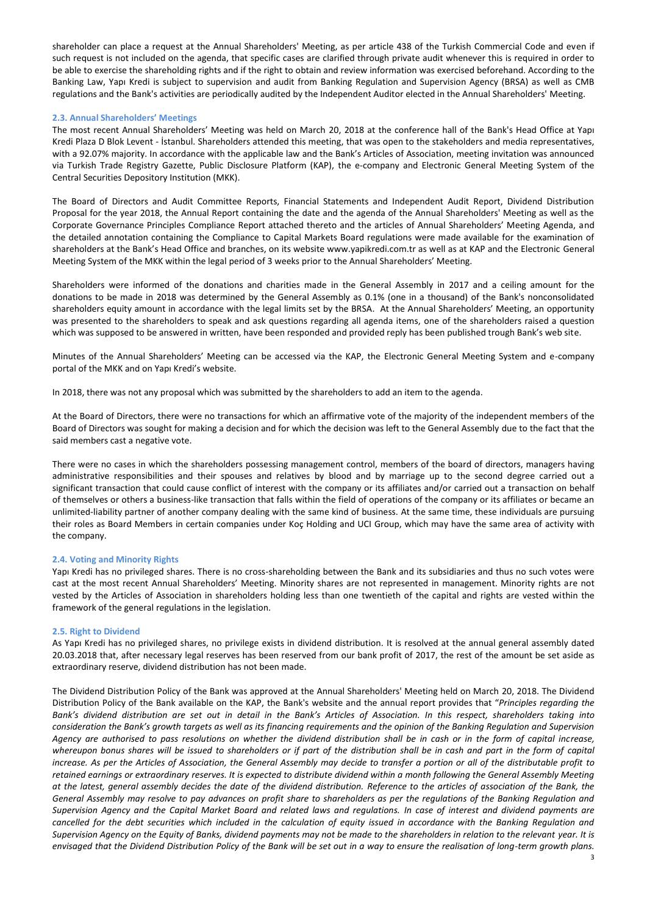shareholder can place a request at the Annual Shareholders' Meeting, as per article 438 of the Turkish Commercial Code and even if such request is not included on the agenda, that specific cases are clarified through private audit whenever this is required in order to be able to exercise the shareholding rights and if the right to obtain and review information was exercised beforehand. According to the Banking Law, Yapı Kredi is subject to supervision and audit from Banking Regulation and Supervision Agency (BRSA) as well as CMB regulations and the Bank's activities are periodically audited by the Independent Auditor elected in the Annual Shareholders' Meeting.

# **2.3. Annual Shareholders' Meetings**

The most recent Annual Shareholders' Meeting was held on March 20, 2018 at the conference hall of the Bank's Head Office at Yapı Kredi Plaza D Blok Levent - İstanbul. Shareholders attended this meeting, that was open to the stakeholders and media representatives, with a 92.07% majority. In accordance with the applicable law and the Bank's Articles of Association, meeting invitation was announced via Turkish Trade Registry Gazette, Public Disclosure Platform (KAP), the e-company and Electronic General Meeting System of the Central Securities Depository Institution (MKK).

The Board of Directors and Audit Committee Reports, Financial Statements and Independent Audit Report, Dividend Distribution Proposal for the year 2018, the Annual Report containing the date and the agenda of the Annual Shareholders' Meeting as well as the Corporate Governance Principles Compliance Report attached thereto and the articles of Annual Shareholders' Meeting Agenda, and the detailed annotation containing the Compliance to Capital Markets Board regulations were made available for the examination of shareholders at the Bank's Head Office and branches, on its website www.yapikredi.com.tr as well as at KAP and the Electronic General Meeting System of the MKK within the legal period of 3 weeks prior to the Annual Shareholders' Meeting.

Shareholders were informed of the donations and charities made in the General Assembly in 2017 and a ceiling amount for the donations to be made in 2018 was determined by the General Assembly as 0.1% (one in a thousand) of the Bank's nonconsolidated shareholders equity amount in accordance with the legal limits set by the BRSA. At the Annual Shareholders' Meeting, an opportunity was presented to the shareholders to speak and ask questions regarding all agenda items, one of the shareholders raised a question which was supposed to be answered in written, have been responded and provided reply has been published trough Bank's web site.

Minutes of the Annual Shareholders' Meeting can be accessed via the KAP, the Electronic General Meeting System and e-company portal of the MKK and on Yapı Kredi's website.

In 2018, there was not any proposal which was submitted by the shareholders to add an item to the agenda.

At the Board of Directors, there were no transactions for which an affirmative vote of the majority of the independent members of the Board of Directors was sought for making a decision and for which the decision was left to the General Assembly due to the fact that the said members cast a negative vote.

There were no cases in which the shareholders possessing management control, members of the board of directors, managers having administrative responsibilities and their spouses and relatives by blood and by marriage up to the second degree carried out a significant transaction that could cause conflict of interest with the company or its affiliates and/or carried out a transaction on behalf of themselves or others a business-like transaction that falls within the field of operations of the company or its affiliates or became an unlimited-liability partner of another company dealing with the same kind of business. At the same time, these individuals are pursuing their roles as Board Members in certain companies under Koç Holding and UCI Group, which may have the same area of activity with the company.

# **2.4. Voting and Minority Rights**

Yapı Kredi has no privileged shares. There is no cross-shareholding between the Bank and its subsidiaries and thus no such votes were cast at the most recent Annual Shareholders' Meeting. Minority shares are not represented in management. Minority rights are not vested by the Articles of Association in shareholders holding less than one twentieth of the capital and rights are vested within the framework of the general regulations in the legislation.

## **2.5. Right to Dividend**

As Yapı Kredi has no privileged shares, no privilege exists in dividend distribution. It is resolved at the annual general assembly dated 20.03.2018 that, after necessary legal reserves has been reserved from our bank profit of 2017, the rest of the amount be set aside as extraordinary reserve, dividend distribution has not been made.

The Dividend Distribution Policy of the Bank was approved at the Annual Shareholders' Meeting held on March 20, 2018. The Dividend Distribution Policy of the Bank available on the KAP, the Bank's website and the annual report provides that "*Principles regarding the Bank's dividend distribution are set out in detail in the Bank's Articles of Association. In this respect, shareholders taking into consideration the Bank's growth targets as well as its financing requirements and the opinion of the Banking Regulation and Supervision Agency are authorised to pass resolutions on whether the dividend distribution shall be in cash or in the form of capital increase, whereupon bonus shares will be issued to shareholders or if part of the distribution shall be in cash and part in the form of capital increase. As per the Articles of Association, the General Assembly may decide to transfer a portion or all of the distributable profit to retained earnings or extraordinary reserves. It is expected to distribute dividend within a month following the General Assembly Meeting at the latest, general assembly decides the date of the dividend distribution. Reference to the articles of association of the Bank, the General Assembly may resolve to pay advances on profit share to shareholders as per the regulations of the Banking Regulation and Supervision Agency and the Capital Market Board and related laws and regulations. In case of interest and dividend payments are cancelled for the debt securities which included in the calculation of equity issued in accordance with the Banking Regulation and Supervision Agency on the Equity of Banks, dividend payments may not be made to the shareholders in relation to the relevant year. It is envisaged that the Dividend Distribution Policy of the Bank will be set out in a way to ensure the realisation of long-term growth plans.*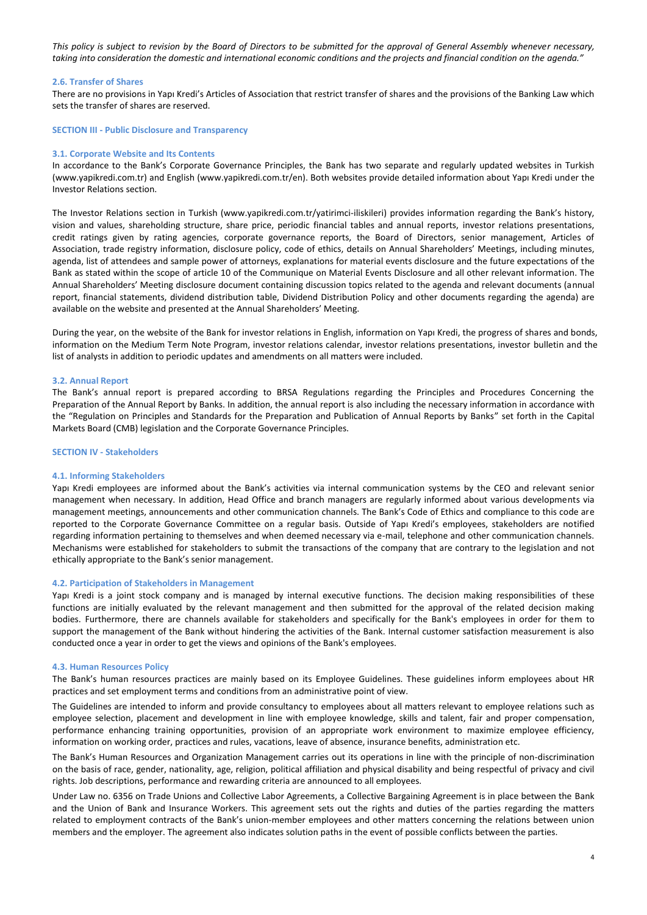*This policy is subject to revision by the Board of Directors to be submitted for the approval of General Assembly whenever necessary, taking into consideration the domestic and international economic conditions and the projects and financial condition on the agenda."*

## **2.6. Transfer of Shares**

There are no provisions in Yapı Kredi's Articles of Association that restrict transfer of shares and the provisions of the Banking Law which sets the transfer of shares are reserved.

#### **SECTION III - Public Disclosure and Transparency**

#### **3.1. Corporate Website and Its Contents**

In accordance to the Bank's Corporate Governance Principles, the Bank has two separate and regularly updated websites in Turkish (www.yapikredi.com.tr) and English (www.yapikredi.com.tr/en). Both websites provide detailed information about Yapı Kredi under the Investor Relations section.

The Investor Relations section in Turkish (www.yapikredi.com.tr/yatirimci-iliskileri) provides information regarding the Bank's history, vision and values, shareholding structure, share price, periodic financial tables and annual reports, investor relations presentations, credit ratings given by rating agencies, corporate governance reports, the Board of Directors, senior management, Articles of Association, trade registry information, disclosure policy, code of ethics, details on Annual Shareholders' Meetings, including minutes, agenda, list of attendees and sample power of attorneys, explanations for material events disclosure and the future expectations of the Bank as stated within the scope of article 10 of the Communique on Material Events Disclosure and all other relevant information. The Annual Shareholders' Meeting disclosure document containing discussion topics related to the agenda and relevant documents (annual report, financial statements, dividend distribution table, Dividend Distribution Policy and other documents regarding the agenda) are available on the website and presented at the Annual Shareholders' Meeting.

During the year, on the website of the Bank for investor relations in English, information on Yapı Kredi, the progress of shares and bonds, information on the Medium Term Note Program, investor relations calendar, investor relations presentations, investor bulletin and the list of analysts in addition to periodic updates and amendments on all matters were included.

#### **3.2. Annual Report**

The Bank's annual report is prepared according to BRSA Regulations regarding the Principles and Procedures Concerning the Preparation of the Annual Report by Banks. In addition, the annual report is also including the necessary information in accordance with the "Regulation on Principles and Standards for the Preparation and Publication of Annual Reports by Banks" set forth in the Capital Markets Board (CMB) legislation and the Corporate Governance Principles.

#### **SECTION IV - Stakeholders**

#### **4.1. Informing Stakeholders**

Yapı Kredi employees are informed about the Bank's activities via internal communication systems by the CEO and relevant senior management when necessary. In addition, Head Office and branch managers are regularly informed about various developments via management meetings, announcements and other communication channels. The Bank's Code of Ethics and compliance to this code are reported to the Corporate Governance Committee on a regular basis. Outside of Yapı Kredi's employees, stakeholders are notified regarding information pertaining to themselves and when deemed necessary via e-mail, telephone and other communication channels. Mechanisms were established for stakeholders to submit the transactions of the company that are contrary to the legislation and not ethically appropriate to the Bank's senior management.

## **4.2. Participation of Stakeholders in Management**

Yapı Kredi is a joint stock company and is managed by internal executive functions. The decision making responsibilities of these functions are initially evaluated by the relevant management and then submitted for the approval of the related decision making bodies. Furthermore, there are channels available for stakeholders and specifically for the Bank's employees in order for them to support the management of the Bank without hindering the activities of the Bank. Internal customer satisfaction measurement is also conducted once a year in order to get the views and opinions of the Bank's employees.

#### **4.3. Human Resources Policy**

The Bank's human resources practices are mainly based on its Employee Guidelines. These guidelines inform employees about HR practices and set employment terms and conditions from an administrative point of view.

The Guidelines are intended to inform and provide consultancy to employees about all matters relevant to employee relations such as employee selection, placement and development in line with employee knowledge, skills and talent, fair and proper compensation, performance enhancing training opportunities, provision of an appropriate work environment to maximize employee efficiency, information on working order, practices and rules, vacations, leave of absence, insurance benefits, administration etc.

The Bank's Human Resources and Organization Management carries out its operations in line with the principle of non-discrimination on the basis of race, gender, nationality, age, religion, political affiliation and physical disability and being respectful of privacy and civil rights. Job descriptions, performance and rewarding criteria are announced to all employees.

Under Law no. 6356 on Trade Unions and Collective Labor Agreements, a Collective Bargaining Agreement is in place between the Bank and the Union of Bank and Insurance Workers. This agreement sets out the rights and duties of the parties regarding the matters related to employment contracts of the Bank's union-member employees and other matters concerning the relations between union members and the employer. The agreement also indicates solution paths in the event of possible conflicts between the parties.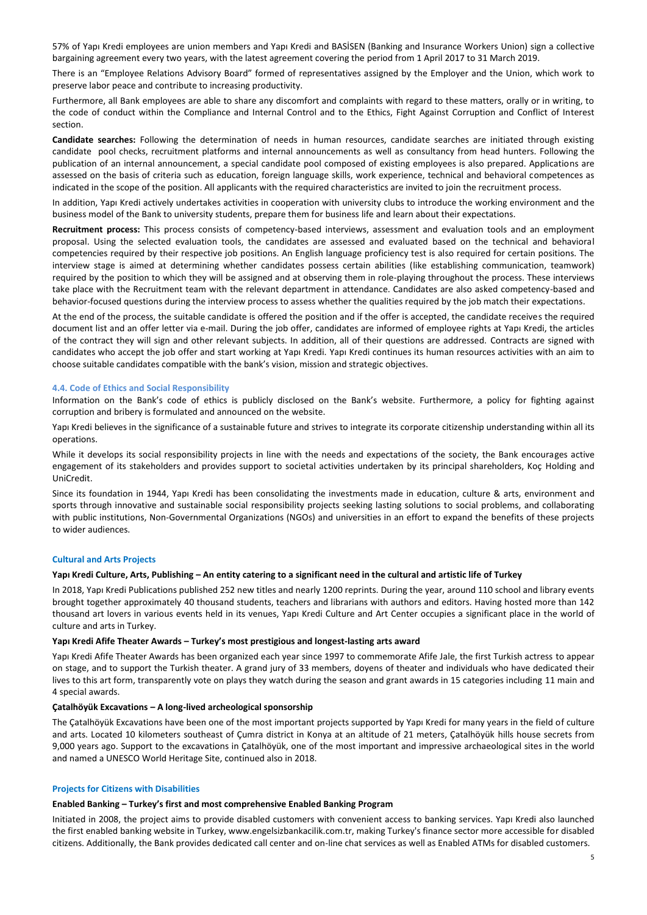57% of Yapı Kredi employees are union members and Yapı Kredi and BASİSEN (Banking and Insurance Workers Union) sign a collective bargaining agreement every two years, with the latest agreement covering the period from 1 April 2017 to 31 March 2019.

There is an "Employee Relations Advisory Board" formed of representatives assigned by the Employer and the Union, which work to preserve labor peace and contribute to increasing productivity.

Furthermore, all Bank employees are able to share any discomfort and complaints with regard to these matters, orally or in writing, to the code of conduct within the Compliance and Internal Control and to the Ethics, Fight Against Corruption and Conflict of Interest section.

**Candidate searches:** Following the determination of needs in human resources, candidate searches are initiated through existing candidate pool checks, recruitment platforms and internal announcements as well as consultancy from head hunters. Following the publication of an internal announcement, a special candidate pool composed of existing employees is also prepared. Applications are assessed on the basis of criteria such as education, foreign language skills, work experience, technical and behavioral competences as indicated in the scope of the position. All applicants with the required characteristics are invited to join the recruitment process.

In addition, Yapı Kredi actively undertakes activities in cooperation with university clubs to introduce the working environment and the business model of the Bank to university students, prepare them for business life and learn about their expectations.

**Recruitment process:** This process consists of competency-based interviews, assessment and evaluation tools and an employment proposal. Using the selected evaluation tools, the candidates are assessed and evaluated based on the technical and behavioral competencies required by their respective job positions. An English language proficiency test is also required for certain positions. The interview stage is aimed at determining whether candidates possess certain abilities (like establishing communication, teamwork) required by the position to which they will be assigned and at observing them in role-playing throughout the process. These interviews take place with the Recruitment team with the relevant department in attendance. Candidates are also asked competency-based and behavior-focused questions during the interview process to assess whether the qualities required by the job match their expectations.

At the end of the process, the suitable candidate is offered the position and if the offer is accepted, the candidate receives the required document list and an offer letter via e-mail. During the job offer, candidates are informed of employee rights at Yapı Kredi, the articles of the contract they will sign and other relevant subjects. In addition, all of their questions are addressed. Contracts are signed with candidates who accept the job offer and start working at Yapı Kredi. Yapı Kredi continues its human resources activities with an aim to choose suitable candidates compatible with the bank's vision, mission and strategic objectives.

# **4.4. Code of Ethics and Social Responsibility**

Information on the Bank's code of ethics is publicly disclosed on the Bank's website. Furthermore, a policy for fighting against corruption and bribery is formulated and announced on the website.

Yapı Kredi believes in the significance of a sustainable future and strives to integrate its corporate citizenship understanding within all its operations.

While it develops its social responsibility projects in line with the needs and expectations of the society, the Bank encourages active engagement of its stakeholders and provides support to societal activities undertaken by its principal shareholders, Koç Holding and UniCredit.

Since its foundation in 1944, Yapı Kredi has been consolidating the investments made in education, culture & arts, environment and sports through innovative and sustainable social responsibility projects seeking lasting solutions to social problems, and collaborating with public institutions, Non-Governmental Organizations (NGOs) and universities in an effort to expand the benefits of these projects to wider audiences.

## **Cultural and Arts Projects**

# **Yapı Kredi Culture, Arts, Publishing – An entity catering to a significant need in the cultural and artistic life of Turkey**

In 2018, Yapı Kredi Publications published 252 new titles and nearly 1200 reprints. During the year, around 110 school and library events brought together approximately 40 thousand students, teachers and librarians with authors and editors. Having hosted more than 142 thousand art lovers in various events held in its venues, Yapı Kredi Culture and Art Center occupies a significant place in the world of culture and arts in Turkey.

## **Yapı Kredi Afife Theater Awards – Turkey's most prestigious and longest-lasting arts award**

Yapı Kredi Afife Theater Awards has been organized each year since 1997 to commemorate Afife Jale, the first Turkish actress to appear on stage, and to support the Turkish theater. A grand jury of 33 members, doyens of theater and individuals who have dedicated their lives to this art form, transparently vote on plays they watch during the season and grant awards in 15 categories including 11 main and 4 special awards.

# **Çatalhöyük Excavations – A long-lived archeological sponsorship**

The Çatalhöyük Excavations have been one of the most important projects supported by Yapı Kredi for many years in the field of culture and arts. Located 10 kilometers southeast of Çumra district in Konya at an altitude of 21 meters, Çatalhöyük hills house secrets from 9,000 years ago. Support to the excavations in Çatalhöyük, one of the most important and impressive archaeological sites in the world and named a UNESCO World Heritage Site, continued also in 2018.

## **Projects for Citizens with Disabilities**

## **Enabled Banking – Turkey's first and most comprehensive Enabled Banking Program**

Initiated in 2008, the project aims to provide disabled customers with convenient access to banking services. Yapı Kredi also launched the first enabled banking website in Turkey, www.engelsizbankacilik.com.tr, making Turkey's finance sector more accessible for disabled citizens. Additionally, the Bank provides dedicated call center and on-line chat services as well as Enabled ATMs for disabled customers.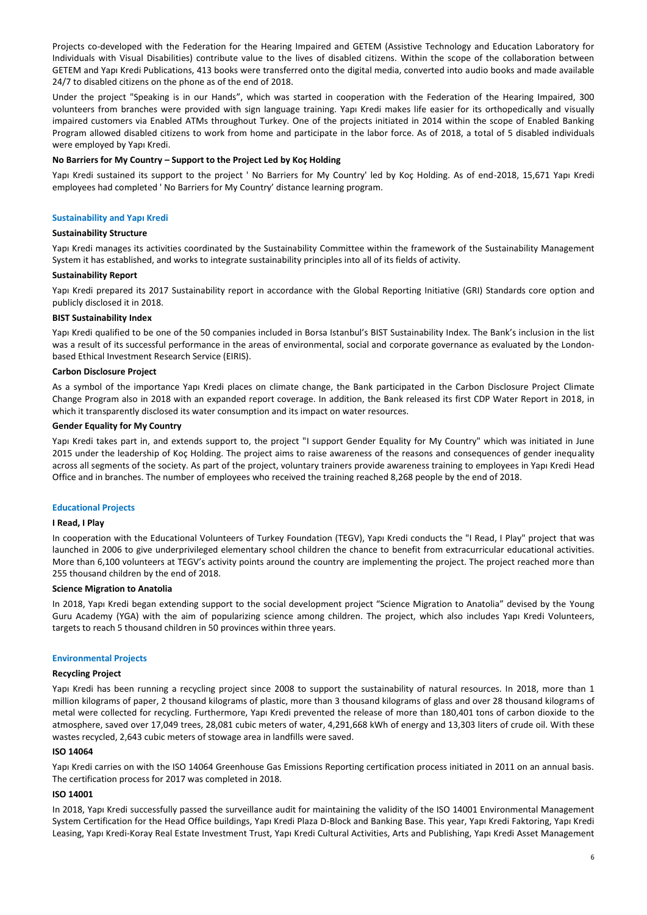Projects co-developed with the Federation for the Hearing Impaired and GETEM (Assistive Technology and Education Laboratory for Individuals with Visual Disabilities) contribute value to the lives of disabled citizens. Within the scope of the collaboration between GETEM and Yapı Kredi Publications, 413 books were transferred onto the digital media, converted into audio books and made available 24/7 to disabled citizens on the phone as of the end of 2018.

Under the project "Speaking is in our Hands", which was started in cooperation with the Federation of the Hearing Impaired, 300 volunteers from branches were provided with sign language training. Yapı Kredi makes life easier for its orthopedically and visually impaired customers via Enabled ATMs throughout Turkey. One of the projects initiated in 2014 within the scope of Enabled Banking Program allowed disabled citizens to work from home and participate in the labor force. As of 2018, a total of 5 disabled individuals were employed by Yapı Kredi.

# **No Barriers for My Country – Support to the Project Led by Koç Holding**

Yapı Kredi sustained its support to the project ' No Barriers for My Country' led by Koç Holding. As of end-2018, 15,671 Yapı Kredi employees had completed ' No Barriers for My Country' distance learning program.

## **Sustainability and Yapı Kredi**

# **Sustainability Structure**

Yapı Kredi manages its activities coordinated by the Sustainability Committee within the framework of the Sustainability Management System it has established, and works to integrate sustainability principles into all of its fields of activity.

## **Sustainability Report**

Yapı Kredi prepared its 2017 Sustainability report in accordance with the Global Reporting Initiative (GRI) Standards core option and publicly disclosed it in 2018.

## **BIST Sustainability Index**

Yapı Kredi qualified to be one of the 50 companies included in Borsa Istanbul's BIST Sustainability Index. The Bank's inclusion in the list was a result of its successful performance in the areas of environmental, social and corporate governance as evaluated by the Londonbased Ethical Investment Research Service (EIRIS).

### **Carbon Disclosure Project**

As a symbol of the importance Yapı Kredi places on climate change, the Bank participated in the Carbon Disclosure Project Climate Change Program also in 2018 with an expanded report coverage. In addition, the Bank released its first CDP Water Report in 2018, in which it transparently disclosed its water consumption and its impact on water resources.

## **Gender Equality for My Country**

Yapı Kredi takes part in, and extends support to, the project "I support Gender Equality for My Country" which was initiated in June 2015 under the leadership of Koç Holding. The project aims to raise awareness of the reasons and consequences of gender inequality across all segments of the society. As part of the project, voluntary trainers provide awareness training to employees in Yapı Kredi Head Office and in branches. The number of employees who received the training reached 8,268 people by the end of 2018.

## **Educational Projects**

## **I Read, I Play**

In cooperation with the Educational Volunteers of Turkey Foundation (TEGV), Yapı Kredi conducts the "I Read, I Play" project that was launched in 2006 to give underprivileged elementary school children the chance to benefit from extracurricular educational activities. More than 6,100 volunteers at TEGV's activity points around the country are implementing the project. The project reached more than 255 thousand children by the end of 2018.

# **Science Migration to Anatolia**

In 2018, Yapı Kredi began extending support to the social development project "Science Migration to Anatolia" devised by the Young Guru Academy (YGA) with the aim of popularizing science among children. The project, which also includes Yapı Kredi Volunteers, targets to reach 5 thousand children in 50 provinces within three years.

## **Environmental Projects**

## **Recycling Project**

Yapı Kredi has been running a recycling project since 2008 to support the sustainability of natural resources. In 2018, more than 1 million kilograms of paper, 2 thousand kilograms of plastic, more than 3 thousand kilograms of glass and over 28 thousand kilograms of metal were collected for recycling. Furthermore, Yapı Kredi prevented the release of more than 180,401 tons of carbon dioxide to the atmosphere, saved over 17,049 trees, 28,081 cubic meters of water, 4,291,668 kWh of energy and 13,303 liters of crude oil. With these wastes recycled, 2,643 cubic meters of stowage area in landfills were saved.

## **ISO 14064**

Yapı Kredi carries on with the ISO 14064 Greenhouse Gas Emissions Reporting certification process initiated in 2011 on an annual basis. The certification process for 2017 was completed in 2018.

# **ISO 14001**

In 2018, Yapı Kredi successfully passed the surveillance audit for maintaining the validity of the ISO 14001 Environmental Management System Certification for the Head Office buildings, Yapı Kredi Plaza D-Block and Banking Base. This year, Yapı Kredi Faktoring, Yapı Kredi Leasing, Yapı Kredi-Koray Real Estate Investment Trust, Yapı Kredi Cultural Activities, Arts and Publishing, Yapı Kredi Asset Management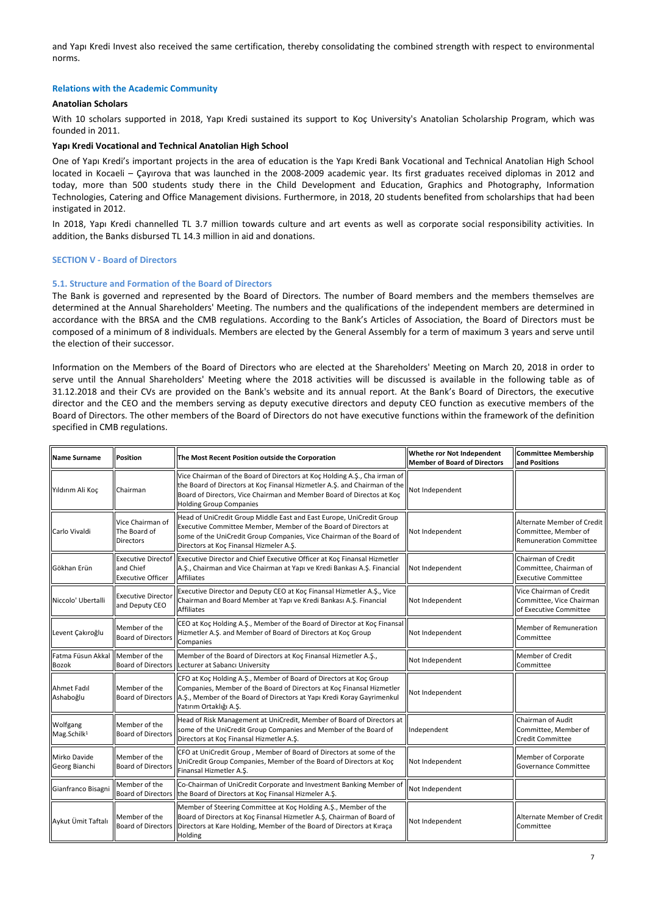and Yapı Kredi Invest also received the same certification, thereby consolidating the combined strength with respect to environmental norms.

## **Relations with the Academic Community**

# **Anatolian Scholars**

With 10 scholars supported in 2018, Yapı Kredi sustained its support to Koç University's Anatolian Scholarship Program, which was founded in 2011.

## **Yapı Kredi Vocational and Technical Anatolian High School**

One of Yapı Kredi's important projects in the area of education is the Yapı Kredi Bank Vocational and Technical Anatolian High School located in Kocaeli – Çayırova that was launched in the 2008-2009 academic year. Its first graduates received diplomas in 2012 and today, more than 500 students study there in the Child Development and Education, Graphics and Photography, Information Technologies, Catering and Office Management divisions. Furthermore, in 2018, 20 students benefited from scholarships that had been instigated in 2012.

In 2018, Yapı Kredi channelled TL 3.7 million towards culture and art events as well as corporate social responsibility activities. In addition, the Banks disbursed TL 14.3 million in aid and donations.

# **SECTION V - Board of Directors**

# **5.1. Structure and Formation of the Board of Directors**

The Bank is governed and represented by the Board of Directors. The number of Board members and the members themselves are determined at the Annual Shareholders' Meeting. The numbers and the qualifications of the independent members are determined in accordance with the BRSA and the CMB regulations. According to the Bank's Articles of Association, the Board of Directors must be composed of a minimum of 8 individuals. Members are elected by the General Assembly for a term of maximum 3 years and serve until the election of their successor.

Information on the Members of the Board of Directors who are elected at the Shareholders' Meeting on March 20, 2018 in order to serve until the Annual Shareholders' Meeting where the 2018 activities will be discussed is available in the following table as of 31.12.2018 and their CVs are provided on the Bank's website and its annual report. At the Bank's Board of Directors, the executive director and the CEO and the members serving as deputy executive directors and deputy CEO function as executive members of the Board of Directors. The other members of the Board of Directors do not have executive functions within the framework of the definition specified in CMB regulations.

| <b>Name Surname</b>                 | <b>Position</b>                                                    | The Most Recent Position outside the Corporation                                                                                                                                                                                                                  | Whethe ror Not Independent<br><b>Member of Board of Directors</b> | <b>Committee Membership</b><br>and Positions                                        |
|-------------------------------------|--------------------------------------------------------------------|-------------------------------------------------------------------------------------------------------------------------------------------------------------------------------------------------------------------------------------------------------------------|-------------------------------------------------------------------|-------------------------------------------------------------------------------------|
| Yıldırım Ali Koc                    | Chairman                                                           | Vice Chairman of the Board of Directors at Koç Holding A.Ş., Cha irman of<br>the Board of Directors at Koç Finansal Hizmetler A.Ş. and Chairman of the<br>Board of Directors, Vice Chairman and Member Board of Directos at Koc<br><b>Holding Group Companies</b> | Not Independent                                                   |                                                                                     |
| Carlo Vivaldi                       | Vice Chairman of<br>The Board of<br><b>Directors</b>               | Head of UniCredit Group Middle East and East Europe, UniCredit Group<br>Executive Committee Member, Member of the Board of Directors at<br>some of the UniCredit Group Companies, Vice Chairman of the Board of<br>Directors at Koç Finansal Hizmeler A.Ş.        | Not Independent                                                   | Alternate Member of Credit<br>Committee, Member of<br><b>Remuneration Committee</b> |
| Gökhan Erün                         | <b>Executive Directof</b><br>and Chief<br><b>Executive Officer</b> | Executive Director and Chief Executive Officer at Koç Finansal Hizmetler<br>A.Ş., Chairman and Vice Chairman at Yapı ve Kredi Bankası A.Ş. Financial<br><b>Affiliates</b>                                                                                         | Not Independent                                                   | Chairman of Credit<br>Committee, Chairman of<br><b>Executive Committee</b>          |
| Niccolo' Ubertalli                  | <b>Executive Directo</b><br>and Deputy CEO                         | Executive Director and Deputy CEO at Koç Finansal Hizmetler A.Ş., Vice<br>Chairman and Board Member at Yapı ve Kredi Bankası A.Ş. Financial<br><b>Affiliates</b>                                                                                                  | Not Independent                                                   | Vice Chairman of Credit<br>Committee, Vice Chairman<br>of Executive Committee       |
| Levent Çakıroğlu                    | Member of the<br><b>Board of Directors</b>                         | CEO at Koç Holding A.Ş., Member of the Board of Director at Koç Finansal<br>Hizmetler A.Ş. and Member of Board of Directors at Koç Group<br>Companies                                                                                                             | Not Independent                                                   | Member of Remuneration<br>Committee                                                 |
| Fatma Füsun Akkal<br><b>Bozok</b>   | Member of the<br><b>Board of Directors</b>                         | Member of the Board of Directors at Koç Finansal Hizmetler A.Ş.,<br>Lecturer at Sabancı University                                                                                                                                                                | Not Independent                                                   | <b>Member of Credit</b><br>Committee                                                |
| Ahmet Fadıl<br>Ashaboğlu            | Member of the<br><b>Board of Directors</b>                         | CFO at Koç Holding A.Ş., Member of Board of Directors at Koç Group<br>Companies, Member of the Board of Directors at Koç Finansal Hizmetler<br>A.Ş., Member of the Board of Directors at Yapı Kredi Koray Gayrimenkul<br>Yatırım Ortaklığı A.Ş.                   | Not Independent                                                   |                                                                                     |
| Wolfgang<br>Mag.Schilk <sup>1</sup> | Member of the<br><b>Board of Director</b>                          | Head of Risk Management at UniCredit, Member of Board of Directors at<br>some of the UniCredit Group Companies and Member of the Board of<br>Directors at Koç Finansal Hizmetler A.Ş.                                                                             | Independent                                                       | Chairman of Audit<br>Committee, Member of<br><b>Credit Committee</b>                |
| Mirko Davide<br>Georg Bianchi       | Member of the<br><b>Board of Director</b>                          | CFO at UniCredit Group, Member of Board of Directors at some of the<br>UniCredit Group Companies, Member of the Board of Directors at Koç<br>Finansal Hizmetler A.S.                                                                                              | Not Independent                                                   | Member of Corporate<br>Governance Committee                                         |
| Gianfranco Bisagni                  | Member of the<br><b>Board of Directors</b>                         | Co-Chairman of UniCredit Corporate and Investment Banking Member of<br>the Board of Directors at Koç Finansal Hizmeler A.Ş.                                                                                                                                       | Not Independent                                                   |                                                                                     |
| Aykut Ümit Taftalı                  | Member of the<br><b>Board of Directors</b>                         | Member of Steering Committee at Koç Holding A.Ş., Member of the<br>Board of Directors at Koç Finansal Hizmetler A.Ş, Chairman of Board of<br>Not Independent<br>Directors at Kare Holding, Member of the Board of Directors at Kıraça<br>Holding                  |                                                                   | Alternate Member of Credit<br>Committee                                             |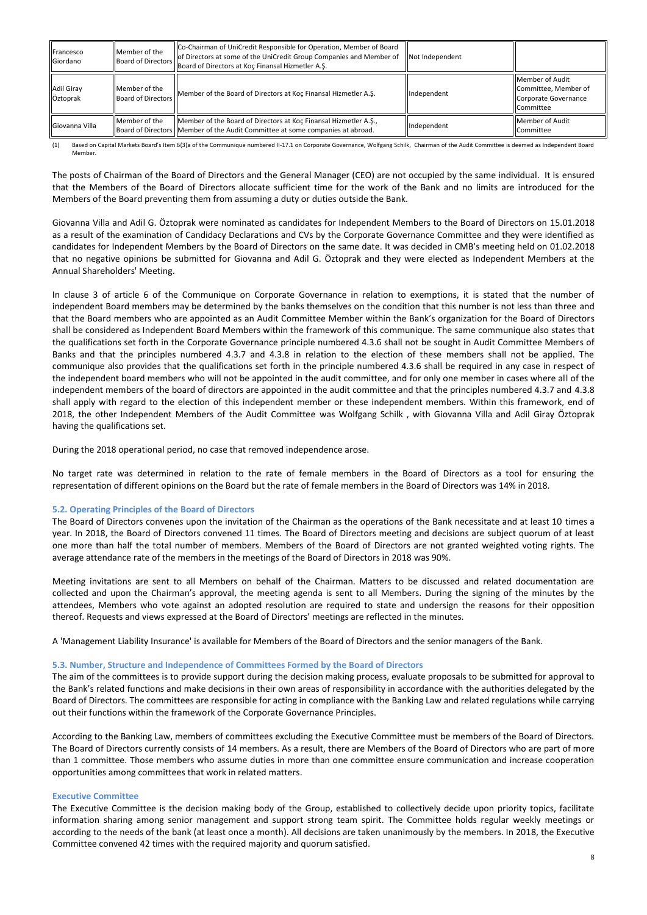| Francesco<br>Giordano         | Member of the                              | Co-Chairman of UniCredit Responsible for Operation, Member of Board<br>of Directors at some of the UniCredit Group Companies and Member of<br>Board of Directors   Board of Directors at Koç Finansal Hizmetler A.S. | Not Independent |                                                                              |
|-------------------------------|--------------------------------------------|----------------------------------------------------------------------------------------------------------------------------------------------------------------------------------------------------------------------|-----------------|------------------------------------------------------------------------------|
| <b>Adil Giray</b><br>Öztoprak | Member of the<br><b>Board of Directors</b> | Member of the Board of Directors at Koc Finansal Hizmetler A.S.                                                                                                                                                      | Independent     | Member of Audit<br>Committee, Member of<br>Corporate Governance<br>Committee |
| Giovanna Villa                | Member of the                              | Member of the Board of Directors at Koc Finansal Hizmetler A.S.,<br>Board of Directors   Member of the Audit Committee at some companies at abroad.                                                                  | Independent     | Member of Audit<br>Committee                                                 |

(1) Based on Capital Markets Board's Item 6(3)a of the Communique numbered II-17.1 on Corporate Governance, Wolfgang Schilk, Chairman of the Audit Committee is deemed as Independent Board Member.

The posts of Chairman of the Board of Directors and the General Manager (CEO) are not occupied by the same individual. It is ensured that the Members of the Board of Directors allocate sufficient time for the work of the Bank and no limits are introduced for the Members of the Board preventing them from assuming a duty or duties outside the Bank.

Giovanna Villa and Adil G. Öztoprak were nominated as candidates for Independent Members to the Board of Directors on 15.01.2018 as a result of the examination of Candidacy Declarations and CVs by the Corporate Governance Committee and they were identified as candidates for Independent Members by the Board of Directors on the same date. It was decided in CMB's meeting held on 01.02.2018 that no negative opinions be submitted for Giovanna and Adil G. Öztoprak and they were elected as Independent Members at the Annual Shareholders' Meeting.

In clause 3 of article 6 of the Communique on Corporate Governance in relation to exemptions, it is stated that the number of independent Board members may be determined by the banks themselves on the condition that this number is not less than three and that the Board members who are appointed as an Audit Committee Member within the Bank's organization for the Board of Directors shall be considered as Independent Board Members within the framework of this communique. The same communique also states that the qualifications set forth in the Corporate Governance principle numbered 4.3.6 shall not be sought in Audit Committee Members of Banks and that the principles numbered 4.3.7 and 4.3.8 in relation to the election of these members shall not be applied. The communique also provides that the qualifications set forth in the principle numbered 4.3.6 shall be required in any case in respect of the independent board members who will not be appointed in the audit committee, and for only one member in cases where all of the independent members of the board of directors are appointed in the audit committee and that the principles numbered 4.3.7 and 4.3.8 shall apply with regard to the election of this independent member or these independent members. Within this framework, end of 2018, the other Independent Members of the Audit Committee was Wolfgang Schilk , with Giovanna Villa and Adil Giray Öztoprak having the qualifications set.

During the 2018 operational period, no case that removed independence arose.

No target rate was determined in relation to the rate of female members in the Board of Directors as a tool for ensuring the representation of different opinions on the Board but the rate of female members in the Board of Directors was 14% in 2018.

# **5.2. Operating Principles of the Board of Directors**

The Board of Directors convenes upon the invitation of the Chairman as the operations of the Bank necessitate and at least 10 times a year. In 2018, the Board of Directors convened 11 times. The Board of Directors meeting and decisions are subject quorum of at least one more than half the total number of members. Members of the Board of Directors are not granted weighted voting rights. The average attendance rate of the members in the meetings of the Board of Directors in 2018 was 90%.

Meeting invitations are sent to all Members on behalf of the Chairman. Matters to be discussed and related documentation are collected and upon the Chairman's approval, the meeting agenda is sent to all Members. During the signing of the minutes by the attendees, Members who vote against an adopted resolution are required to state and undersign the reasons for their opposition thereof. Requests and views expressed at the Board of Directors' meetings are reflected in the minutes.

A 'Management Liability Insurance' is available for Members of the Board of Directors and the senior managers of the Bank.

# **5.3. Number, Structure and Independence of Committees Formed by the Board of Directors**

The aim of the committees is to provide support during the decision making process, evaluate proposals to be submitted for approval to the Bank's related functions and make decisions in their own areas of responsibility in accordance with the authorities delegated by the Board of Directors. The committees are responsible for acting in compliance with the Banking Law and related regulations while carrying out their functions within the framework of the Corporate Governance Principles.

According to the Banking Law, members of committees excluding the Executive Committee must be members of the Board of Directors. The Board of Directors currently consists of 14 members. As a result, there are Members of the Board of Directors who are part of more than 1 committee. Those members who assume duties in more than one committee ensure communication and increase cooperation opportunities among committees that work in related matters.

# **Executive Committee**

The Executive Committee is the decision making body of the Group, established to collectively decide upon priority topics, facilitate information sharing among senior management and support strong team spirit. The Committee holds regular weekly meetings or according to the needs of the bank (at least once a month). All decisions are taken unanimously by the members. In 2018, the Executive Committee convened 42 times with the required majority and quorum satisfied.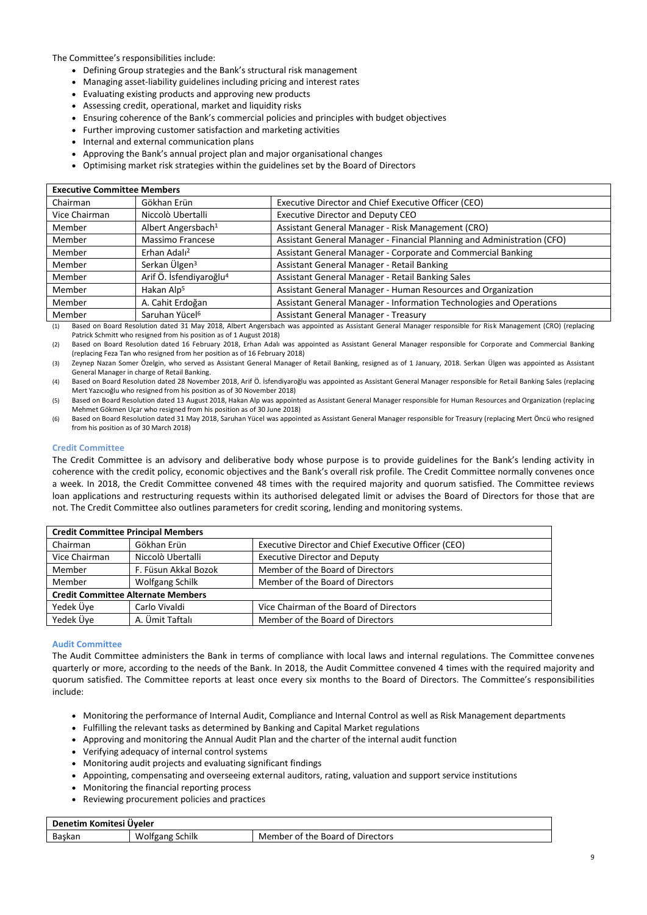The Committee's responsibilities include:

- Defining Group strategies and the Bank's structural risk management
- Managing asset-liability guidelines including pricing and interest rates
- Evaluating existing products and approving new products
- Assessing credit, operational, market and liquidity risks
- Ensuring coherence of the Bank's commercial policies and principles with budget objectives
- Further improving customer satisfaction and marketing activities
- Internal and external communication plans
- Approving the Bank's annual project plan and major organisational changes
- Optimising market risk strategies within the guidelines set by the Board of Directors

| <b>Executive Committee Members</b> |                                     |                                                                         |  |
|------------------------------------|-------------------------------------|-------------------------------------------------------------------------|--|
| Chairman                           | Gökhan Erün                         | Executive Director and Chief Executive Officer (CEO)                    |  |
| Vice Chairman                      | Niccolò Ubertalli                   | Executive Director and Deputy CEO                                       |  |
| Member                             | Albert Angersbach <sup>1</sup>      | Assistant General Manager - Risk Management (CRO)                       |  |
| Member                             | Massimo Francese                    | Assistant General Manager - Financial Planning and Administration (CFO) |  |
| Member                             | Erhan Adalı <sup>2</sup>            | Assistant General Manager - Corporate and Commercial Banking            |  |
| Member                             | Serkan Ülgen <sup>3</sup>           | Assistant General Manager - Retail Banking                              |  |
| Member                             | Arif Ö. İsfendiyaroğlu <sup>4</sup> | Assistant General Manager - Retail Banking Sales                        |  |
| Member                             | Hakan Alp <sup>5</sup>              | Assistant General Manager - Human Resources and Organization            |  |
| Member                             | A. Cahit Erdoğan                    | Assistant General Manager - Information Technologies and Operations     |  |
| Member                             | Saruhan Yücel <sup>6</sup>          | Assistant General Manager - Treasury                                    |  |

(1) Based on Board Resolution dated 31 May 2018, Albert Angersbach was appointed as Assistant General Manager responsible for Risk Management (CRO) (replacing Patrick Schmitt who resigned from his position as of 1 August 2018)

(2) Based on Board Resolution dated 16 February 2018, Erhan Adalı was appointed as Assistant General Manager responsible for Corporate and Commercial Banking (replacing Feza Tan who resigned from her position as of 16 February 2018)

(3) Zeynep Nazan Somer Özelgin, who served as Assistant General Manager of Retail Banking, resigned as of 1 January, 2018. Serkan Ülgen was appointed as Assistant General Manager in charge of Retail Banking.

(4) Based on Board Resolution dated 28 November 2018, Arif Ö. İsfendiyaroğlu was appointed as Assistant General Manager responsible for Retail Banking Sales (replacing Mert Yazıcıoğlu who resigned from his position as of 30 November 2018)

(5) Based on Board Resolution dated 13 August 2018, Hakan Alp was appointed as Assistant General Manager responsible for Human Resources and Organization (replacing Mehmet Gökmen Uçar who resigned from his position as of 30 June 2018)

(6) Based on Board Resolution dated 31 May 2018, Saruhan Yücel was appointed as Assistant General Manager responsible for Treasury (replacing Mert Öncü who resigned from his position as of 30 March 2018)

# **Credit Committee**

The Credit Committee is an advisory and deliberative body whose purpose is to provide guidelines for the Bank's lending activity in coherence with the credit policy, economic objectives and the Bank's overall risk profile. The Credit Committee normally convenes once a week. In 2018, the Credit Committee convened 48 times with the required majority and quorum satisfied. The Committee reviews loan applications and restructuring requests within its authorised delegated limit or advises the Board of Directors for those that are not. The Credit Committee also outlines parameters for credit scoring, lending and monitoring systems.

| <b>Credit Committee Principal Members</b> |                        |                                                      |  |
|-------------------------------------------|------------------------|------------------------------------------------------|--|
| Chairman                                  | Gökhan Erün            | Executive Director and Chief Executive Officer (CEO) |  |
| Vice Chairman                             | Niccolò Ubertalli      | <b>Executive Director and Deputy</b>                 |  |
| Member                                    | F. Füsun Akkal Bozok   | Member of the Board of Directors                     |  |
| Member                                    | <b>Wolfgang Schilk</b> | Member of the Board of Directors                     |  |
| <b>Credit Committee Alternate Members</b> |                        |                                                      |  |
| Yedek Üve                                 | Carlo Vivaldi          | Vice Chairman of the Board of Directors              |  |
| Yedek Üye                                 | A. Ümit Taftalı        | Member of the Board of Directors                     |  |

# **Audit Committee**

The Audit Committee administers the Bank in terms of compliance with local laws and internal regulations. The Committee convenes quarterly or more, according to the needs of the Bank. In 2018, the Audit Committee convened 4 times with the required majority and quorum satisfied. The Committee reports at least once every six months to the Board of Directors. The Committee's responsibilities include:

- Monitoring the performance of Internal Audit, Compliance and Internal Control as well as Risk Management departments
- Fulfilling the relevant tasks as determined by Banking and Capital Market regulations
- Approving and monitoring the Annual Audit Plan and the charter of the internal audit function
- Verifying adequacy of internal control systems
- Monitoring audit projects and evaluating significant findings
- Appointing, compensating and overseeing external auditors, rating, valuation and support service institutions
- Monitoring the financial reporting process
- Reviewing procurement policies and practices

| Denetim Komitesi Üveler |                 |                                  |
|-------------------------|-----------------|----------------------------------|
| Baskan                  | Wolfgang Schilk | Member of the Board of Directors |